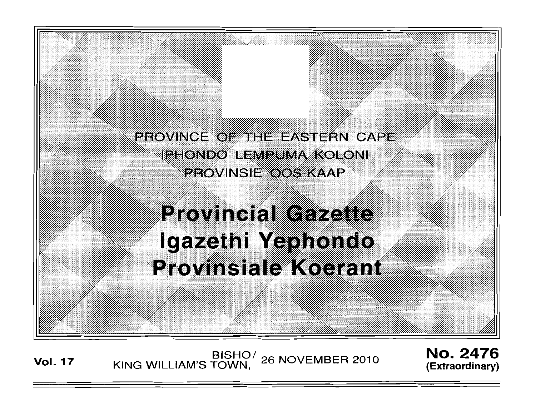

# **Provincial Gazette** Igazethi Yephondo **Provinsiale Koerant**

BISHO<sup>/</sup> 26 NOVEMBER 2010 **Vol. 17** KING WILLIAM'S TOWN,

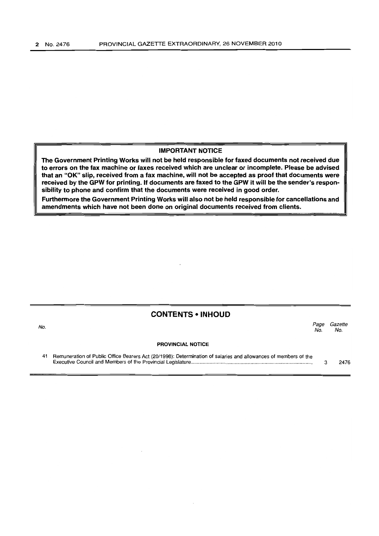#### IMPORTANT NOTICE

The Government Printing Works will not be held responsible for faxed documents not received due to errors on the fax machine or faxes received which are unclear or incomplete. Please be advised that an "OK" slip, received from a fax machine, will not be accepted as proof that documents were received by the GPW for printing. If documents are faxed to the GPW it will be the sender's responsibility to phone and confirm that the documents were received in good order.

Furthermore the Government Printing Works will also not be held responsible for cancellations and amendments which have not been done on original documents received from clients.

#### CONTENTS • INHOUD

| No. |                                                                                                                 | Page<br>No. | Gazette<br>No. |
|-----|-----------------------------------------------------------------------------------------------------------------|-------------|----------------|
|     | <b>PROVINCIAL NOTICE</b>                                                                                        |             |                |
|     | Remuneration of Public Office Bearers Act (20/1998): Determination of salaries and allowances of members of the |             | 2476           |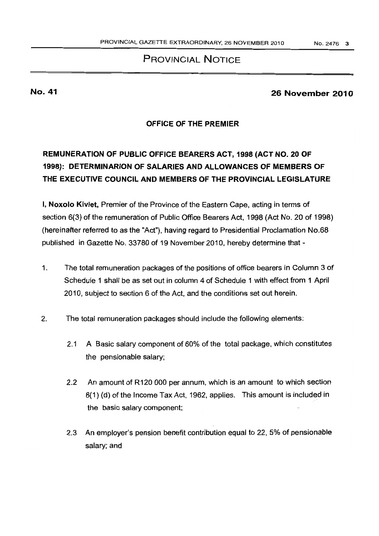## PROVINCIAL NOTICE

## No. 41 26 November 2010

### OFFICE OF THE PREMIER

# REMUNERATION OF PUBLIC OFFICE BEARERS ACT, 1998 (ACT NO. 20 OF 1998): DETERMINARION OF SALARIES AND ALLOWANCES OF MEMBERS OF THE EXECUTIVE COUNCIL AND MEMBERS OF THE PROViNCIAL lEGISLATURE

I, Noxolo Kiviet, Premier of the Province of the Eastern Cape, acting in terms of section 6(3) of the remuneration of Public Office Bearers Act, 1998 (Act No. 20 of 1998) (hereinafter referred to as the "Act"), having regard to Presidential Proclamation No.68 published in Gazette No. 33780 of 19 November 2010, hereby determine that -

- 1. The total remuneration packages of the positions of office bearers in Column 3 of Schedule 1 shall be as set out in column 4 of Schedule 1 with effect from 1 April 2010, subject to section 6 of the Act, and the conditions set out herein.
- 2. The totai remuneration packages should include the following elements:
	- 2.1 A Basic salary component of 60% of the total package, which constitutes the pensionable salary;
	- 2.2 An amount of R120 000 per annum, which is an amount to which section 8(1) (d) of the Income Tax Act, 1962, applies. This amount is included in the basic salary component;
	- 2.3 An employer's pension benefit contribution equal to 22,5% of pensionable salary; and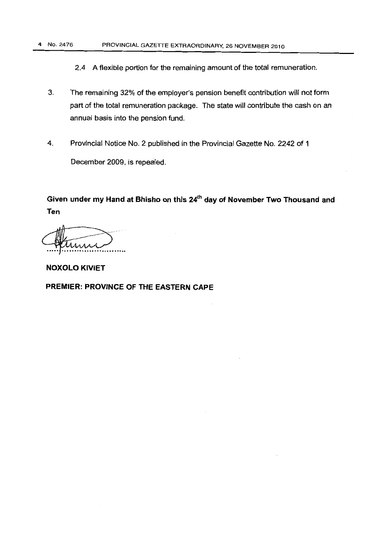#### 4 No. 2476 PROVINCIAL GAZETIE EXTRAORDINARY, 26 NOVEMBER 2010

2.4 A flexible portion for the remaining amount of the total remuneration,

- 3. The remaining 32% of the employer's pension benefit contribution will not form part of the total remuneration package. The state will contribute the cash on an annual basis into the pension fund.
- 4. Provincial Notice No.2 published in the Provincial Gazette No. 2242 of 1 December 2009. is repealed.

Given under my Hand at Bhisho on this 24<sup>th</sup> day of November Two Thousand and **Ten** 

しんハハハ

**NOXOLO KIVIET** 

**PREMIER: PROVINCE OF THE EASTERN CAPE**